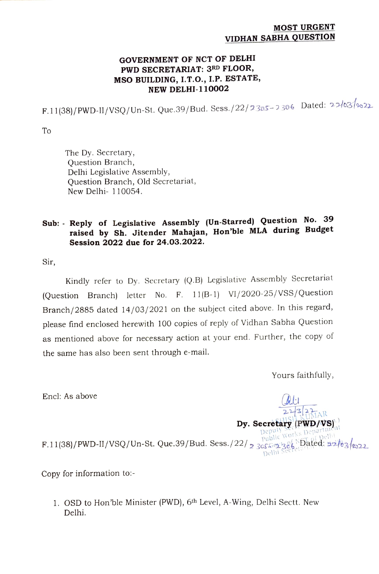## MOST URGENT VIDHAN SABHA QUESTION

## GOVERNMENT OF NCT OF DELHI PWD SECRETARIAT: 3RD FLOOR, MSO BUILDING, I.T.O., I.P. ESTATE, NEW DELHI-110002

 $F.11(38)/PWD-II/VSQ/Un-St. Que.39/Bud. Sess./22/2325-2306$  Dated: 22/03/1022

To

The Dy. Secretary, Question Branch, Delhi Legislative Assembly, Question Branch, Old Secretariat, New Delhi- 110054.

## Sub: Reply of Legislative Assembly (Un-Starred) Question No. <sup>39</sup> raised by Sh. Jitender Mahajan, Hon'ble MLA during Budget Session 2022 due for 24.03.2022.

Sir,

Kindly refer to Dy. Secretary (Q.B) Legislative Assembly Secretariat (Question Branch) letter No. F. 11(B-1) VI/2020-25/VSS/Question Branch/2885 dated 14/03/2021 on the subject cited above. In this regard, please find enclosed herewith 100 copies of reply of Vidhan Sabha Question as mentioned above for necessary action at your end. Further, the copy of the same has also been sent through e-mail.

Yours faithfully,

Encl: As above

 $22\frac{3}{2}$ <br>HISHAR  $\mathbf{Dy.~Secretary}$  (PWD/VS)<sup>11</sup><br>Deputy <sub>Morks</sub> Department F.11(38)/PWD-II/VSQ/Un-St. Que.39/Bud. Sess./22/2305691386 Dated: 22/03/222 Delhi<sup>5</sup>

Copy for information to:-

1. OSD to Hon'ble Minister (PWD), 6<sup>th</sup> Level, A-Wing, Delhi Sectt. New Delhi.